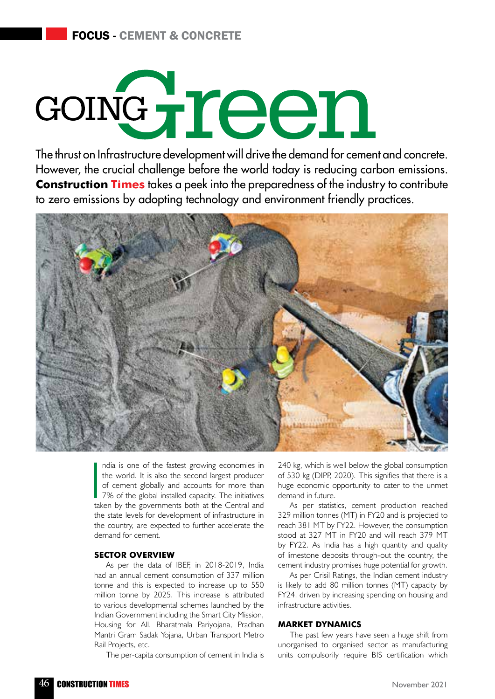# condreen

The thrust on Infrastructure development will drive the demand for cement and concrete. However, the crucial challenge before the world today is reducing carbon emissions. **Construction Times** takes a peek into the preparedness of the industry to contribute to zero emissions by adopting technology and environment friendly practices.



|<br>|<br>|<br>|<br>| ndia is one of the fastest growing economies in the world. It is also the second largest producer of cement globally and accounts for more than 7% of the global installed capacity. The initiatives taken by the governments both at the Central and the state levels for development of infrastructure in the country, are expected to further accelerate the demand for cement.

# **Sector Overview**

As per the data of IBEF, in 2018-2019, India had an annual cement consumption of 337 million tonne and this is expected to increase up to 550 million tonne by 2025. This increase is attributed to various developmental schemes launched by the Indian Government including the Smart City Mission, Housing for All, Bharatmala Pariyojana, Pradhan Mantri Gram Sadak Yojana, Urban Transport Metro Rail Projects, etc.

The per-capita consumption of cement in India is

240 kg, which is well below the global consumption of 530 kg (DIPP, 2020). This signifies that there is a huge economic opportunity to cater to the unmet demand in future.

As per statistics, cement production reached 329 million tonnes (MT) in FY20 and is projected to reach 381 MT by FY22. However, the consumption stood at 327 MT in FY20 and will reach 379 MT by FY22. As India has a high quantity and quality of limestone deposits through-out the country, the cement industry promises huge potential for growth.

As per Crisil Ratings, the Indian cement industry is likely to add 80 million tonnes (MT) capacity by FY24, driven by increasing spending on housing and infrastructure activities.

# **Market Dynamics**

The past few years have seen a huge shift from unorganised to organised sector as manufacturing units compulsorily require BIS certification which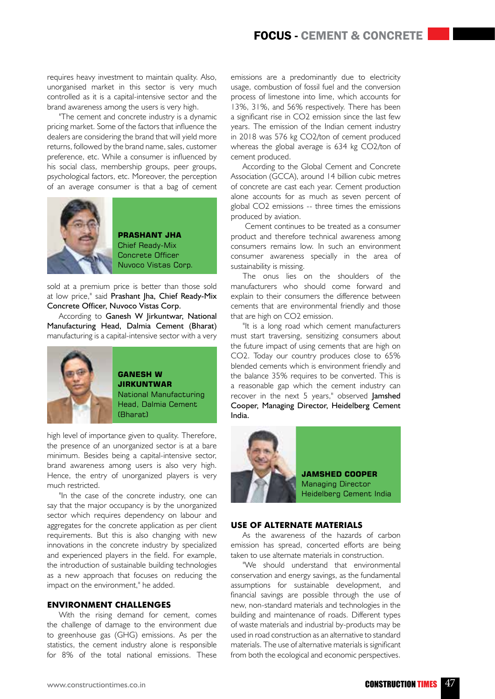requires heavy investment to maintain quality. Also, unorganised market in this sector is very much controlled as it is a capital-intensive sector and the brand awareness among the users is very high.

"The cement and concrete industry is a dynamic pricing market. Some of the factors that influence the dealers are considering the brand that will yield more returns, followed by the brand name, sales, customer preference, etc. While a consumer is influenced by his social class, membership groups, peer groups, psychological factors, etc. Moreover, the perception of an average consumer is that a bag of cement



**Prashant Jha** Chief Ready-Mix Concrete Officer Nuvoco Vistas Corp.

sold at a premium price is better than those sold at low price," said Prashant Jha, Chief Ready-Mix Concrete Officer, Nuvoco Vistas Corp.

According to Ganesh W Jirkuntwar, National Manufacturing Head, Dalmia Cement (Bharat) manufacturing is a capital-intensive sector with a very



**Ganesh W Jirkuntwar** National Manufacturing Head, Dalmia Cement (Bharat)

high level of importance given to quality. Therefore, the presence of an unorganized sector is at a bare minimum. Besides being a capital-intensive sector, brand awareness among users is also very high. Hence, the entry of unorganized players is very much restricted.

"In the case of the concrete industry, one can say that the major occupancy is by the unorganized sector which requires dependency on labour and aggregates for the concrete application as per client requirements. But this is also changing with new innovations in the concrete industry by specialized and experienced players in the field. For example, the introduction of sustainable building technologies as a new approach that focuses on reducing the impact on the environment," he added.

# **Environment Challenges**

With the rising demand for cement, comes the challenge of damage to the environment due to greenhouse gas (GHG) emissions. As per the statistics, the cement industry alone is responsible for 8% of the total national emissions. These emissions are a predominantly due to electricity usage, combustion of fossil fuel and the conversion process of limestone into lime, which accounts for 13%, 31%, and 56% respectively. There has been a significant rise in CO2 emission since the last few years. The emission of the Indian cement industry in 2018 was 576 kg CO2/ton of cement produced whereas the global average is 634 kg CO2/ton of cement produced.

According to the Global Cement and Concrete Association (GCCA), around 14 billion cubic metres of concrete are cast each year. Cement production alone accounts for as much as seven percent of global CO2 emissions -- three times the emissions produced by aviation.

 Cement continues to be treated as a consumer product and therefore technical awareness among consumers remains low. In such an environment consumer awareness specially in the area of sustainability is missing.

The onus lies on the shoulders of the manufacturers who should come forward and explain to their consumers the difference between cements that are environmental friendly and those that are high on CO2 emission.

"It is a long road which cement manufacturers must start traversing, sensitizing consumers about the future impact of using cements that are high on CO2. Today our country produces close to 65% blended cements which is environment friendly and the balance 35% requires to be converted. This is a reasonable gap which the cement industry can recover in the next 5 years," observed **lamshed** Cooper, Managing Director, Heidelberg Cement India.



**Jamshed Cooper** Managing Director Heidelberg Cement India

# **Use of Alternate Materials**

As the awareness of the hazards of carbon emission has spread, concerted efforts are being taken to use alternate materials in construction.

"We should understand that environmental conservation and energy savings, as the fundamental assumptions for sustainable development, and financial savings are possible through the use of new, non-standard materials and technologies in the building and maintenance of roads. Different types of waste materials and industrial by-products may be used in road construction as an alternative to standard materials. The use of alternative materials is significant from both the ecological and economic perspectives.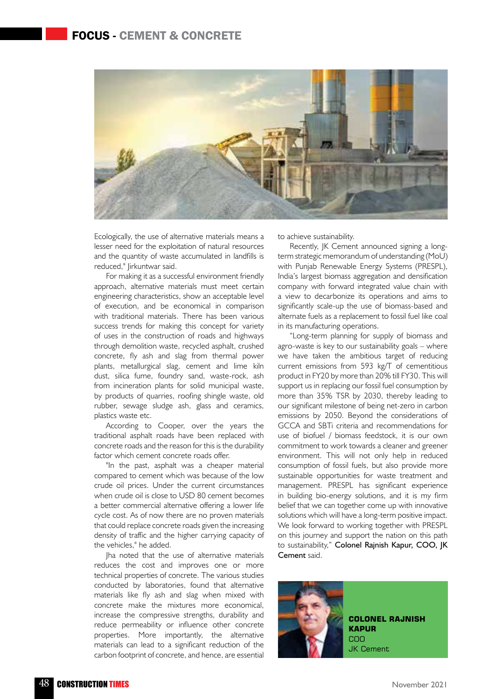# Focus - Cement & Concrete



Ecologically, the use of alternative materials means a lesser need for the exploitation of natural resources and the quantity of waste accumulated in landfills is reduced," Jirkuntwar said.

For making it as a successful environment friendly approach, alternative materials must meet certain engineering characteristics, show an acceptable level of execution, and be economical in comparison with traditional materials. There has been various success trends for making this concept for variety of uses in the construction of roads and highways through demolition waste, recycled asphalt, crushed concrete, fly ash and slag from thermal power plants, metallurgical slag, cement and lime kiln dust, silica fume, foundry sand, waste-rock, ash from incineration plants for solid municipal waste, by products of quarries, roofing shingle waste, old rubber, sewage sludge ash, glass and ceramics, plastics waste etc.

According to Cooper, over the years the traditional asphalt roads have been replaced with concrete roads and the reason for this is the durability factor which cement concrete roads offer.

"In the past, asphalt was a cheaper material compared to cement which was because of the low crude oil prices. Under the current circumstances when crude oil is close to USD 80 cement becomes a better commercial alternative offering a lower life cycle cost. As of now there are no proven materials that could replace concrete roads given the increasing density of traffic and the higher carrying capacity of the vehicles," he added.

Jha noted that the use of alternative materials reduces the cost and improves one or more technical properties of concrete. The various studies conducted by laboratories, found that alternative materials like fly ash and slag when mixed with concrete make the mixtures more economical, increase the compressive strengths, durability and reduce permeability or influence other concrete properties. More importantly, the alternative materials can lead to a significant reduction of the carbon footprint of concrete, and hence, are essential

to achieve sustainability.

Recently, JK Cement announced signing a longterm strategic memorandum of understanding (MoU) with Punjab Renewable Energy Systems (PRESPL), India's largest biomass aggregation and densification company with forward integrated value chain with a view to decarbonize its operations and aims to significantly scale-up the use of biomass-based and alternate fuels as a replacement to fossil fuel like coal in its manufacturing operations.

"Long-term planning for supply of biomass and agro-waste is key to our sustainability goals – where we have taken the ambitious target of reducing current emissions from 593 kg/T of cementitious product in FY20 by more than 20% till FY30. This will support us in replacing our fossil fuel consumption by more than 35% TSR by 2030, thereby leading to our significant milestone of being net-zero in carbon emissions by 2050. Beyond the considerations of GCCA and SBTi criteria and recommendations for use of biofuel / biomass feedstock, it is our own commitment to work towards a cleaner and greener environment. This will not only help in reduced consumption of fossil fuels, but also provide more sustainable opportunities for waste treatment and management. PRESPL has significant experience in building bio-energy solutions, and it is my firm belief that we can together come up with innovative solutions which will have a long-term positive impact. We look forward to working together with PRESPL on this journey and support the nation on this path to sustainability," Colonel Rajnish Kapur, COO, JK Cement said.



**Colonel Rajnish Kapur** COO JK Cement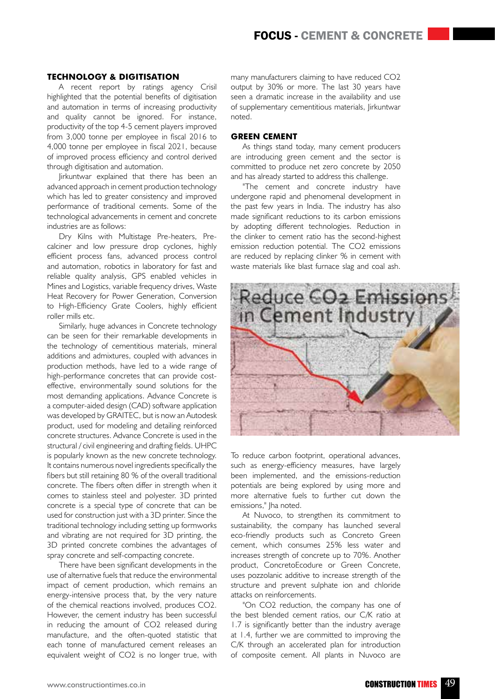### **Technology & Digitisation**

A recent report by ratings agency Crisil highlighted that the potential benefits of digitisation and automation in terms of increasing productivity and quality cannot be ignored. For instance, productivity of the top 4-5 cement players improved from 3,000 tonne per employee in fiscal 2016 to 4,000 tonne per employee in fiscal 2021, because of improved process efficiency and control derived through digitisation and automation.

Jirkuntwar explained that there has been an advanced approach in cement production technology which has led to greater consistency and improved performance of traditional cements. Some of the technological advancements in cement and concrete industries are as follows:

Dry Kilns with Multistage Pre-heaters, Precalciner and low pressure drop cyclones, highly efficient process fans, advanced process control and automation, robotics in laboratory for fast and reliable quality analysis, GPS enabled vehicles in Mines and Logistics, variable frequency drives, Waste Heat Recovery for Power Generation, Conversion to High-Efficiency Grate Coolers, highly efficient roller mills etc.

Similarly, huge advances in Concrete technology can be seen for their remarkable developments in the technology of cementitious materials, mineral additions and admixtures, coupled with advances in production methods, have led to a wide range of high-performance concretes that can provide costeffective, environmentally sound solutions for the most demanding applications. Advance Concrete is a computer-aided design (CAD) software application was developed by GRAITEC, but is now an Autodesk product, used for modeling and detailing reinforced concrete structures. Advance Concrete is used in the structural / civil engineering and drafting fields. UHPC is popularly known as the new concrete technology. It contains numerous novel ingredients specifically the fibers but still retaining 80 % of the overall traditional concrete. The fibers often differ in strength when it comes to stainless steel and polyester. 3D printed concrete is a special type of concrete that can be used for construction just with a 3D printer. Since the traditional technology including setting up formworks and vibrating are not required for 3D printing, the 3D printed concrete combines the advantages of spray concrete and self-compacting concrete.

There have been significant developments in the use of alternative fuels that reduce the environmental impact of cement production, which remains an energy-intensive process that, by the very nature of the chemical reactions involved, produces CO2. However, the cement industry has been successful in reducing the amount of CO2 released during manufacture, and the often-quoted statistic that each tonne of manufactured cement releases an equivalent weight of CO2 is no longer true, with many manufacturers claiming to have reduced CO2 output by 30% or more. The last 30 years have seen a dramatic increase in the availability and use of supplementary cementitious materials, Jirkuntwar noted.

### **Green Cement**

As things stand today, many cement producers are introducing green cement and the sector is committed to produce net zero concrete by 2050 and has already started to address this challenge.

"The cement and concrete industry have undergone rapid and phenomenal development in the past few years in India. The industry has also made significant reductions to its carbon emissions by adopting different technologies. Reduction in the clinker to cement ratio has the second-highest emission reduction potential. The CO2 emissions are reduced by replacing clinker % in cement with waste materials like blast furnace slag and coal ash.



To reduce carbon footprint, operational advances, such as energy-efficiency measures, have largely been implemented, and the emissions-reduction potentials are being explored by using more and more alternative fuels to further cut down the emissions." Iha noted.

At Nuvoco, to strengthen its commitment to sustainability, the company has launched several eco-friendly products such as Concreto Green cement, which consumes 25% less water and increases strength of concrete up to 70%. Another product, ConcretoEcodure or Green Concrete, uses pozzolanic additive to increase strength of the structure and prevent sulphate ion and chloride attacks on reinforcements.

"On CO2 reduction, the company has one of the best blended cement ratios, our C/K ratio at 1.7 is significantly better than the industry average at 1.4, further we are committed to improving the C/K through an accelerated plan for introduction of composite cement. All plants in Nuvoco are